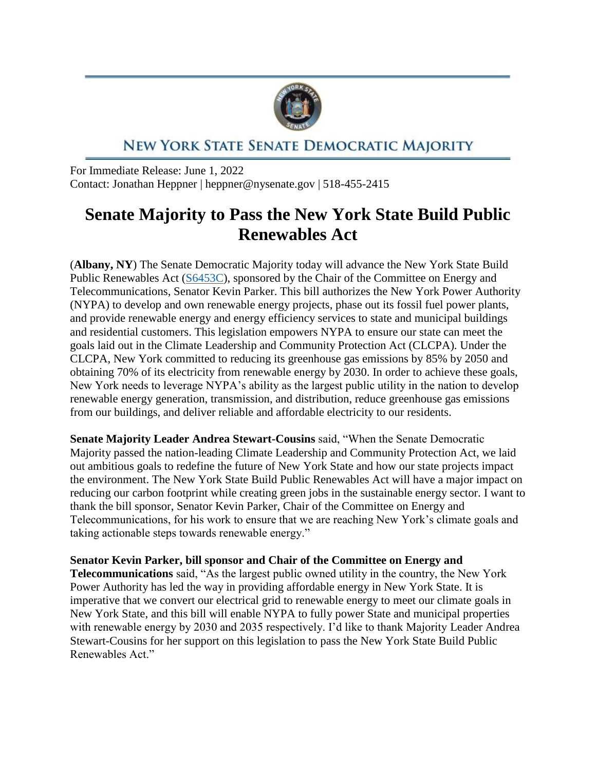

## NEW YORK STATE SENATE DEMOCRATIC MAJORITY

For Immediate Release: June 1, 2022 Contact: Jonathan Heppner | heppner@nysenate.gov | 518-455-2415

## **Senate Majority to Pass the New York State Build Public Renewables Act**

(**Albany, NY**) The Senate Democratic Majority today will advance the New York State Build Public Renewables Act [\(S6453C\)](https://www.nysenate.gov/legislation/bills/2021/S6453C), sponsored by the Chair of the Committee on Energy and Telecommunications, Senator Kevin Parker. This bill authorizes the New York Power Authority (NYPA) to develop and own renewable energy projects, phase out its fossil fuel power plants, and provide renewable energy and energy efficiency services to state and municipal buildings and residential customers. This legislation empowers NYPA to ensure our state can meet the goals laid out in the Climate Leadership and Community Protection Act (CLCPA). Under the CLCPA, New York committed to reducing its greenhouse gas emissions by 85% by 2050 and obtaining 70% of its electricity from renewable energy by 2030. In order to achieve these goals, New York needs to leverage NYPA's ability as the largest public utility in the nation to develop renewable energy generation, transmission, and distribution, reduce greenhouse gas emissions from our buildings, and deliver reliable and affordable electricity to our residents.

**Senate Majority Leader Andrea Stewart-Cousins** said, "When the Senate Democratic Majority passed the nation-leading Climate Leadership and Community Protection Act, we laid out ambitious goals to redefine the future of New York State and how our state projects impact the environment. The New York State Build Public Renewables Act will have a major impact on reducing our carbon footprint while creating green jobs in the sustainable energy sector. I want to thank the bill sponsor, Senator Kevin Parker, Chair of the Committee on Energy and Telecommunications, for his work to ensure that we are reaching New York's climate goals and taking actionable steps towards renewable energy."

**Senator Kevin Parker, bill sponsor and Chair of the Committee on Energy and** 

**Telecommunications** said, "As the largest public owned utility in the country, the New York Power Authority has led the way in providing affordable energy in New York State. It is imperative that we convert our electrical grid to renewable energy to meet our climate goals in New York State, and this bill will enable NYPA to fully power State and municipal properties with renewable energy by 2030 and 2035 respectively. I'd like to thank Majority Leader Andrea Stewart-Cousins for her support on this legislation to pass the New York State Build Public Renewables Act."